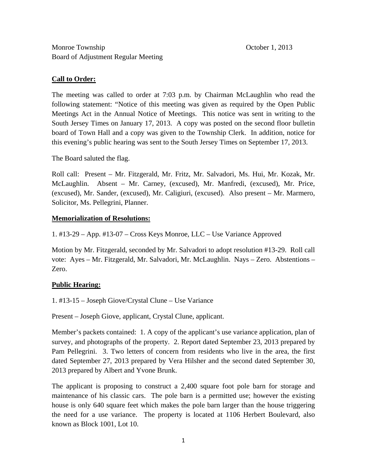# **Call to Order:**

The meeting was called to order at 7:03 p.m. by Chairman McLaughlin who read the following statement: "Notice of this meeting was given as required by the Open Public Meetings Act in the Annual Notice of Meetings. This notice was sent in writing to the South Jersey Times on January 17, 2013. A copy was posted on the second floor bulletin board of Town Hall and a copy was given to the Township Clerk. In addition, notice for this evening's public hearing was sent to the South Jersey Times on September 17, 2013.

The Board saluted the flag.

Roll call: Present – Mr. Fitzgerald, Mr. Fritz, Mr. Salvadori, Ms. Hui, Mr. Kozak, Mr. McLaughlin. Absent – Mr. Carney, (excused), Mr. Manfredi, (excused), Mr. Price, (excused), Mr. Sander, (excused), Mr. Caligiuri, (excused). Also present – Mr. Marmero, Solicitor, Ms. Pellegrini, Planner.

# **Memorialization of Resolutions:**

1. #13-29 – App. #13-07 – Cross Keys Monroe, LLC – Use Variance Approved

Motion by Mr. Fitzgerald, seconded by Mr. Salvadori to adopt resolution #13-29. Roll call vote: Ayes – Mr. Fitzgerald, Mr. Salvadori, Mr. McLaughlin. Nays – Zero. Abstentions – Zero.

# **Public Hearing:**

1. #13-15 – Joseph Giove/Crystal Clune – Use Variance

Present – Joseph Giove, applicant, Crystal Clune, applicant.

Member's packets contained: 1. A copy of the applicant's use variance application, plan of survey, and photographs of the property. 2. Report dated September 23, 2013 prepared by Pam Pellegrini. 3. Two letters of concern from residents who live in the area, the first dated September 27, 2013 prepared by Vera Hilsher and the second dated September 30, 2013 prepared by Albert and Yvone Brunk.

The applicant is proposing to construct a 2,400 square foot pole barn for storage and maintenance of his classic cars. The pole barn is a permitted use; however the existing house is only 640 square feet which makes the pole barn larger than the house triggering the need for a use variance. The property is located at 1106 Herbert Boulevard, also known as Block 1001, Lot 10.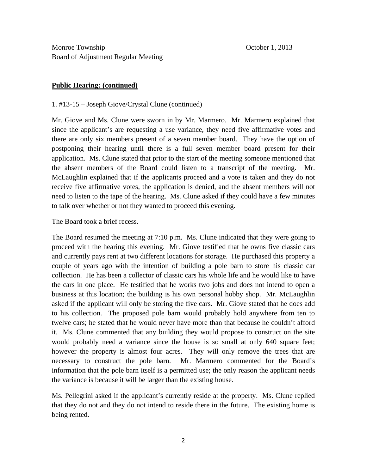#### **Public Hearing: (continued)**

#### 1. #13-15 – Joseph Giove/Crystal Clune (continued)

Mr. Giove and Ms. Clune were sworn in by Mr. Marmero. Mr. Marmero explained that since the applicant's are requesting a use variance, they need five affirmative votes and there are only six members present of a seven member board. They have the option of postponing their hearing until there is a full seven member board present for their application. Ms. Clune stated that prior to the start of the meeting someone mentioned that the absent members of the Board could listen to a transcript of the meeting. Mr. McLaughlin explained that if the applicants proceed and a vote is taken and they do not receive five affirmative votes, the application is denied, and the absent members will not need to listen to the tape of the hearing. Ms. Clune asked if they could have a few minutes to talk over whether or not they wanted to proceed this evening.

The Board took a brief recess.

The Board resumed the meeting at 7:10 p.m. Ms. Clune indicated that they were going to proceed with the hearing this evening. Mr. Giove testified that he owns five classic cars and currently pays rent at two different locations for storage. He purchased this property a couple of years ago with the intention of building a pole barn to store his classic car collection. He has been a collector of classic cars his whole life and he would like to have the cars in one place. He testified that he works two jobs and does not intend to open a business at this location; the building is his own personal hobby shop. Mr. McLaughlin asked if the applicant will only be storing the five cars. Mr. Giove stated that he does add to his collection. The proposed pole barn would probably hold anywhere from ten to twelve cars; he stated that he would never have more than that because he couldn't afford it. Ms. Clune commented that any building they would propose to construct on the site would probably need a variance since the house is so small at only 640 square feet; however the property is almost four acres. They will only remove the trees that are necessary to construct the pole barn. Mr. Marmero commented for the Board's information that the pole barn itself is a permitted use; the only reason the applicant needs the variance is because it will be larger than the existing house.

Ms. Pellegrini asked if the applicant's currently reside at the property. Ms. Clune replied that they do not and they do not intend to reside there in the future. The existing home is being rented.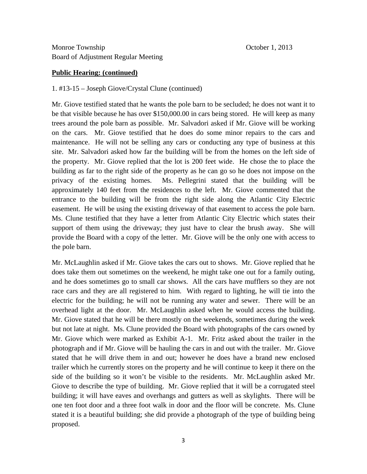### **Public Hearing: (continued)**

### 1. #13-15 – Joseph Giove/Crystal Clune (continued)

Mr. Giove testified stated that he wants the pole barn to be secluded; he does not want it to be that visible because he has over \$150,000.00 in cars being stored. He will keep as many trees around the pole barn as possible. Mr. Salvadori asked if Mr. Giove will be working on the cars. Mr. Giove testified that he does do some minor repairs to the cars and maintenance. He will not be selling any cars or conducting any type of business at this site. Mr. Salvadori asked how far the building will be from the homes on the left side of the property. Mr. Giove replied that the lot is 200 feet wide. He chose the to place the building as far to the right side of the property as he can go so he does not impose on the privacy of the existing homes. Ms. Pellegrini stated that the building will be approximately 140 feet from the residences to the left. Mr. Giove commented that the entrance to the building will be from the right side along the Atlantic City Electric easement. He will be using the existing driveway of that easement to access the pole barn. Ms. Clune testified that they have a letter from Atlantic City Electric which states their support of them using the driveway; they just have to clear the brush away. She will provide the Board with a copy of the letter. Mr. Giove will be the only one with access to the pole barn.

Mr. McLaughlin asked if Mr. Giove takes the cars out to shows. Mr. Giove replied that he does take them out sometimes on the weekend, he might take one out for a family outing, and he does sometimes go to small car shows. All the cars have mufflers so they are not race cars and they are all registered to him. With regard to lighting, he will tie into the electric for the building; he will not be running any water and sewer. There will be an overhead light at the door. Mr. McLaughlin asked when he would access the building. Mr. Giove stated that he will be there mostly on the weekends, sometimes during the week but not late at night. Ms. Clune provided the Board with photographs of the cars owned by Mr. Giove which were marked as Exhibit A-1. Mr. Fritz asked about the trailer in the photograph and if Mr. Giove will be hauling the cars in and out with the trailer. Mr. Giove stated that he will drive them in and out; however he does have a brand new enclosed trailer which he currently stores on the property and he will continue to keep it there on the side of the building so it won't be visible to the residents. Mr. McLaughlin asked Mr. Giove to describe the type of building. Mr. Giove replied that it will be a corrugated steel building; it will have eaves and overhangs and gutters as well as skylights. There will be one ten foot door and a three foot walk in door and the floor will be concrete. Ms. Clune stated it is a beautiful building; she did provide a photograph of the type of building being proposed.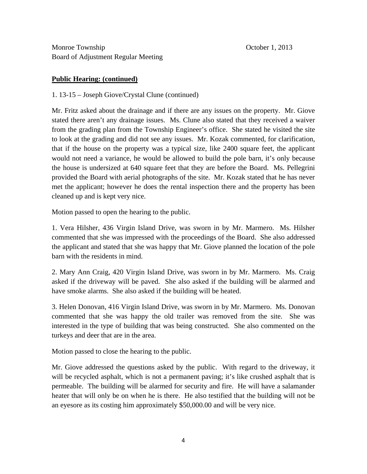### **Public Hearing: (continued)**

1. 13-15 – Joseph Giove/Crystal Clune (continued)

Mr. Fritz asked about the drainage and if there are any issues on the property. Mr. Giove stated there aren't any drainage issues. Ms. Clune also stated that they received a waiver from the grading plan from the Township Engineer's office. She stated he visited the site to look at the grading and did not see any issues. Mr. Kozak commented, for clarification, that if the house on the property was a typical size, like 2400 square feet, the applicant would not need a variance, he would be allowed to build the pole barn, it's only because the house is undersized at 640 square feet that they are before the Board. Ms. Pellegrini provided the Board with aerial photographs of the site. Mr. Kozak stated that he has never met the applicant; however he does the rental inspection there and the property has been cleaned up and is kept very nice.

Motion passed to open the hearing to the public.

1. Vera Hilsher, 436 Virgin Island Drive, was sworn in by Mr. Marmero. Ms. Hilsher commented that she was impressed with the proceedings of the Board. She also addressed the applicant and stated that she was happy that Mr. Giove planned the location of the pole barn with the residents in mind.

2. Mary Ann Craig, 420 Virgin Island Drive, was sworn in by Mr. Marmero. Ms. Craig asked if the driveway will be paved. She also asked if the building will be alarmed and have smoke alarms. She also asked if the building will be heated.

3. Helen Donovan, 416 Virgin Island Drive, was sworn in by Mr. Marmero. Ms. Donovan commented that she was happy the old trailer was removed from the site. She was interested in the type of building that was being constructed. She also commented on the turkeys and deer that are in the area.

Motion passed to close the hearing to the public.

Mr. Giove addressed the questions asked by the public. With regard to the driveway, it will be recycled asphalt, which is not a permanent paving; it's like crushed asphalt that is permeable. The building will be alarmed for security and fire. He will have a salamander heater that will only be on when he is there. He also testified that the building will not be an eyesore as its costing him approximately \$50,000.00 and will be very nice.